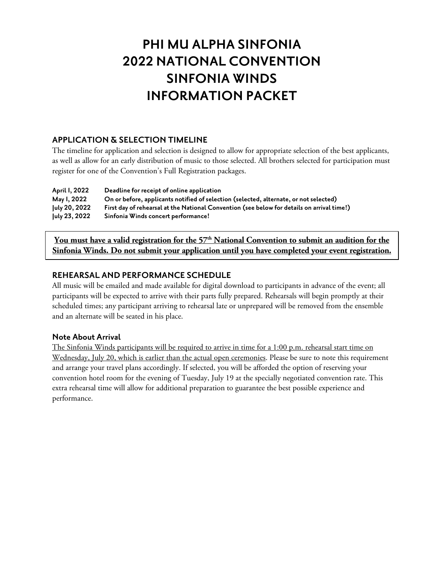# **PHI MU ALPHA SINFONIA 2022 NATIONAL CONVENTION SINFONIA WINDS INFORMATION PACKET**

#### **APPLICATION & SELECTION TIMELINE**

The timeline for application and selection is designed to allow for appropriate selection of the best applicants, as well as allow for an early distribution of music to those selected. All brothers selected for participation must register for one of the Convention's Full Registration packages.

| April 1, 2022 | Deadline for receipt of online application                                                 |
|---------------|--------------------------------------------------------------------------------------------|
| May 1, 2022   | On or before, applicants notified of selection (selected, alternate, or not selected)      |
| July 20, 2022 | First day of rehearsal at the National Convention (see below for details on arrival time!) |
| July 23, 2022 | Sinfonia Winds concert performance!                                                        |

You must have a valid registration for the 57<sup>th</sup> National Convention to submit an audition for the **Sinfonia Winds. Do not submit your application until you have completed your event registration.**

### **REHEARSAL AND PERFORMANCE SCHEDULE**

All music will be emailed and made available for digital download to participants in advance of the event; all participants will be expected to arrive with their parts fully prepared. Rehearsals will begin promptly at their scheduled times; any participant arriving to rehearsal late or unprepared will be removed from the ensemble and an alternate will be seated in his place.

#### **Note About Arrival**

The Sinfonia Winds participants will be required to arrive in time for a 1:00 p.m. rehearsal start time on Wednesday, July 20, which is earlier than the actual open ceremonies. Please be sure to note this requirement and arrange your travel plans accordingly. If selected, you will be afforded the option of reserving your convention hotel room for the evening of Tuesday, July 19 at the specially negotiated convention rate. This extra rehearsal time will allow for additional preparation to guarantee the best possible experience and performance.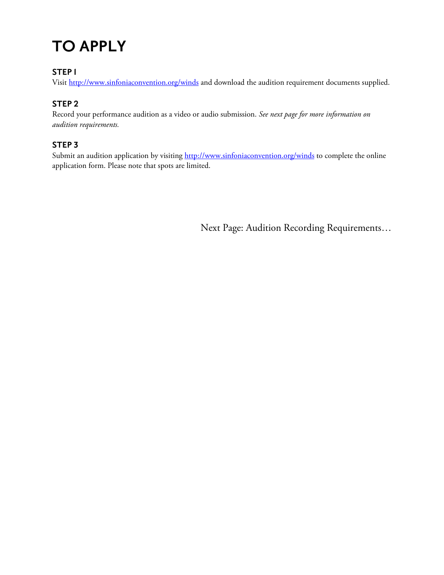# **TO APPLY**

## **STEP 1**

Visit <http://www.sinfoniaconvention.org/winds> and download the audition requirement documents supplied.

# **STEP 2**

Record your performance audition as a video or audio submission. *See next page for more information on audition requirements.*

## **STEP 3**

Submit an audition application by visiting<http://www.sinfoniaconvention.org/winds> to complete the online application form. Please note that spots are limited.

Next Page: Audition Recording Requirements…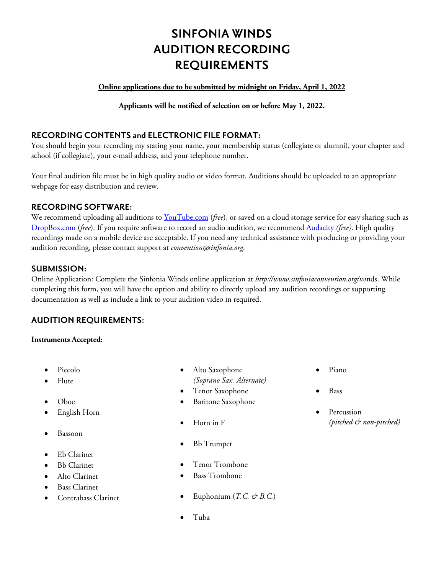# **SINFONIA WINDS AUDITION RECORDING REQUIREMENTS**

#### **Online applications due to be submitted by midnight on Friday, April 1, 2022**

**Applicants will be notified of selection on or before May 1, 2022.**

#### **RECORDING CONTENTS and ELECTRONIC FILE FORMAT:**

You should begin your recording my stating your name, your membership status (collegiate or alumni), your chapter and school (if collegiate), your e-mail address, and your telephone number.

Your final audition file must be in high quality audio or video format. Auditions should be uploaded to an appropriate webpage for easy distribution and review.

#### **RECORDING SOFTWARE:**

We recommend uploading all auditions to [YouTube.com](http://www.youtube.com/) (*free*), or saved on a cloud storage service for easy sharing such as [DropBox.com](https://dropbox.com/) (*free*). If you require software to record an audio audition, we recommend [Audacity](http://audacity.sourceforge.net/) *(free)*. High quality recordings made on a mobile device are acceptable. If you need any technical assistance with producing or providing your audition recording, please contact support at *convention@sinfonia.org*.

#### **SUBMISSION:**

Online Application: Complete the Sinfonia Winds online application at *[http://www.sinfoniaconvention.org/wi](http://www.sinfoniaconvention.org/winds)*[nds.](http://www.sinfoniaconvention.org/winds) While completing this form, you will have the option and ability to directly upload any audition recordings or supporting documentation as well as include a link to your audition video in required.

#### **AUDITION REQUIREMENTS:**

#### **Instruments Accepted:**

- Piccolo
- Flute
- Oboe
- English Horn
- Bassoon
- Eb Clarinet
- **Bb** Clarinet
- Alto Clarinet
- Bass Clarinet
- Contrabass Clarinet
- Alto Saxophone *(Soprano Sax. Alternate)*
- Tenor Saxophone
- Baritone Saxophone
- Horn in F
- Bb Trumpet
- Tenor Trombone
- Bass Trombone
- Euphonium  $(T.C. \mathcal{O} \cap B.C.)$
- Tuba
- Piano
- Bass
- Percussion *(pitched & non-pitched)*